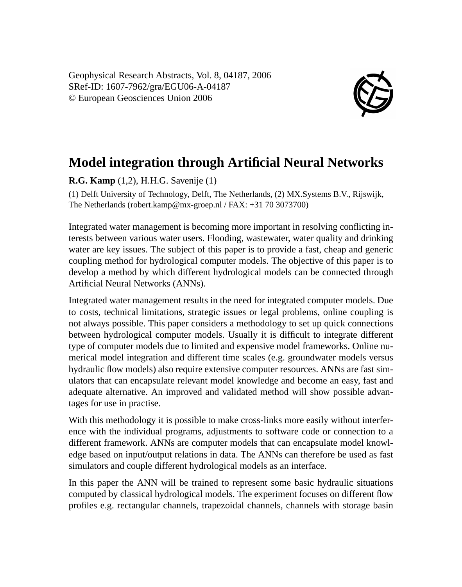Geophysical Research Abstracts, Vol. 8, 04187, 2006 SRef-ID: 1607-7962/gra/EGU06-A-04187 © European Geosciences Union 2006



## **Model integration through Artificial Neural Networks**

**R.G. Kamp** (1,2), H.H.G. Savenije (1)

(1) Delft University of Technology, Delft, The Netherlands, (2) MX.Systems B.V., Rijswijk, The Netherlands (robert.kamp@mx-groep.nl / FAX: +31 70 3073700)

Integrated water management is becoming more important in resolving conflicting interests between various water users. Flooding, wastewater, water quality and drinking water are key issues. The subject of this paper is to provide a fast, cheap and generic coupling method for hydrological computer models. The objective of this paper is to develop a method by which different hydrological models can be connected through Artificial Neural Networks (ANNs).

Integrated water management results in the need for integrated computer models. Due to costs, technical limitations, strategic issues or legal problems, online coupling is not always possible. This paper considers a methodology to set up quick connections between hydrological computer models. Usually it is difficult to integrate different type of computer models due to limited and expensive model frameworks. Online numerical model integration and different time scales (e.g. groundwater models versus hydraulic flow models) also require extensive computer resources. ANNs are fast simulators that can encapsulate relevant model knowledge and become an easy, fast and adequate alternative. An improved and validated method will show possible advantages for use in practise.

With this methodology it is possible to make cross-links more easily without interference with the individual programs, adjustments to software code or connection to a different framework. ANNs are computer models that can encapsulate model knowledge based on input/output relations in data. The ANNs can therefore be used as fast simulators and couple different hydrological models as an interface.

In this paper the ANN will be trained to represent some basic hydraulic situations computed by classical hydrological models. The experiment focuses on different flow profiles e.g. rectangular channels, trapezoidal channels, channels with storage basin